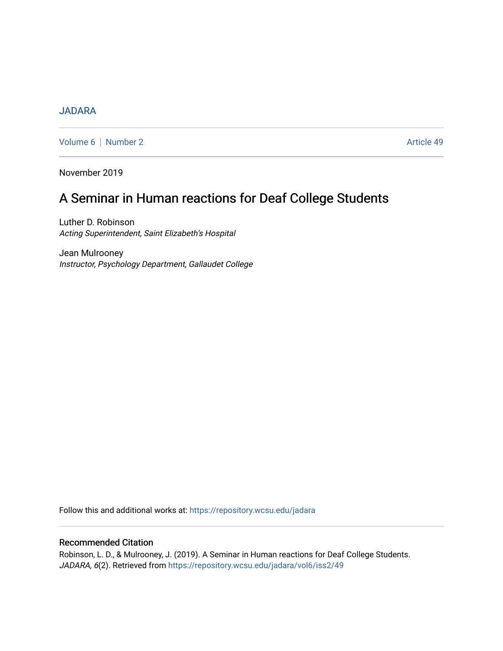## **[JADARA](https://repository.wcsu.edu/jadara)**

[Volume 6](https://repository.wcsu.edu/jadara/vol6) | [Number 2](https://repository.wcsu.edu/jadara/vol6/iss2) Article 49

November 2019

# A Seminar in Human reactions for Deaf College Students

Luther D. Robinson Acting Superintendent, Saint Elizabeth's Hospital

Jean Mulrooney Instructor, Psychology Department, Gallaudet College

Follow this and additional works at: [https://repository.wcsu.edu/jadara](https://repository.wcsu.edu/jadara?utm_source=repository.wcsu.edu%2Fjadara%2Fvol6%2Fiss2%2F49&utm_medium=PDF&utm_campaign=PDFCoverPages)

### Recommended Citation

Robinson, L. D., & Mulrooney, J. (2019). A Seminar in Human reactions for Deaf College Students. JADARA, 6(2). Retrieved from [https://repository.wcsu.edu/jadara/vol6/iss2/49](https://repository.wcsu.edu/jadara/vol6/iss2/49?utm_source=repository.wcsu.edu%2Fjadara%2Fvol6%2Fiss2%2F49&utm_medium=PDF&utm_campaign=PDFCoverPages)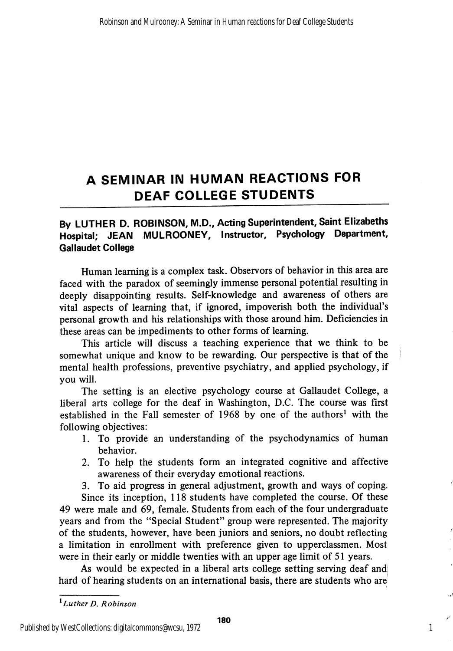## A SEMINAR IN HUMAN REACTIONS FOR DEAF COLLEGE STUDENTS

## By LUTHER D. ROBINSON, M.D., Acting Superintendent, Saint Elizabeths Hospital; JEAN MULROONEY, Instructor, Psychology Department, Gallaudet College

Human learning is a complex task. Observors of behavior in this area are faced with the paradox of seemingly immense personal potential resulting in deeply disappointing results. Self-knowledge and awareness of others are vital aspects of learning that, if ignored, impoverish both the individual's personal growth and his relationships with those around him. Deficiencies in these areas can be impediments to other forms of learning.

This article will discuss a teaching experience that we think to be somewhat unique and know to be rewarding. Our perspective is that of the mental health professions, preventive psychiatry, and applied psychology, if you will.

The setting is an elective psychology course at Gallaudet College, a liberal arts college for the deaf in Washington, D.C. The course was first established in the Fall semester of 1968 by one of the authors' with the following objectives:

- 1. To provide an understanding of the psychodynamics of human behavior.
- 2. To help the students form an integrated cognitive and affective awareness of their everyday emotional reactions.

3. To aid progress in general adjustment, growth and ways of coping.

Since its inception, 118 students have completed the course. Of these 49 were male and 69, female. Students from each of the four undergraduate years and from the "Special Student" group were represented. The majority of the students, however, have been juniors and seniors, no doubt reflecting a limitation in enrollment with preference given to upperclassmen. Most were in their early or middle twenties with an upper age limit of 51 years.

As would be expected in a liberal arts college setting serving deaf and hard of hearing students on an international basis, there are students who are

1

 $1$ Luther D. Robinson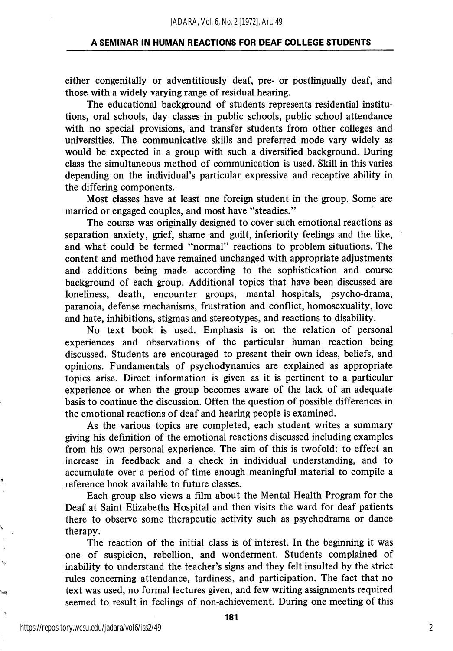#### A SEMINAR IN HUMAN REACTIONS FOR DEAF COLLEGE STUDENTS

either congenitally or adventitiously deaf, pre- or postlingually deaf, and those with a widely varying range of residual hearing.

The educational background of students represents residential institu tions, oral schools, day classes in public schools, public school attendance with no special provisions, and transfer students from other colleges and universities. The communicative skills and preferred mode vary widely as would be expected in a group with such a diversified background. During class the simultaneous method of communication is used. Skill in this varies depending on the individual's particular expressive and receptive ability in the differing components.

Most classes have at least one foreign student in the group. Some are married or engaged couples, and most have "steadies."

The course was originally designed to cover such emotional reactions as separation anxiety, grief, shame and guilt, inferiority feelings and the like, and what could be termed "normal" reactions to problem situations. The content and method have remained unchanged with appropriate adjustments and additions being made according to the sophistication and course background of each group. Additional topics that have been discussed are loneliness, death, encounter groups, mental hospitals, psycho-drama, paranoia, defense mechanisms, frustration and conflict, homosexuality, love and hate, inhibitions, stigmas and stereotypes, and reactions to disability.

No text book is used. Emphasis is on the relation of personal experiences and observations of the particular human reaction being discussed. Students are encouraged to present their own ideas, beliefs, and opinions. Fundamentals of psychodynamics are explained as appropriate topics arise. Direct information is given as it is pertinent to a particular experience or when the group becomes aware of the lack of an adequate basis to continue the discussion. Often the question of possible differences in the emotional reactions of deaf and hearing people is examined.

As the various topics are completed, each student writes a summary giving his definition of the emotional reactions discussed including examples from his own personal experience. The aim of this is twofold: to effect an increase in feedback and a check in individual understanding, and to accumulate over a period of time enough meaningful material to compile a reference book available to future classes.

Each group also views a film about the Mental Health Program for the Deaf at Saint Elizabeths Hospital and then visits the ward for deaf patients there to observe some therapeutic activity such as psychodrama or dance therapy.

The reaction of the initial class is of interest. In the beginning it was one of suspicion, rebellion, and wonderment. Students complained of inability to understand the teacher's signs and they felt insulted by the strict rules concerning attendance, tardiness, and participation. The fact that no text was used, no formal lectures given, and few writing assignments required seemed to result in feelings of non-achievement. During one meeting of this

۱Ì,

i.

٠,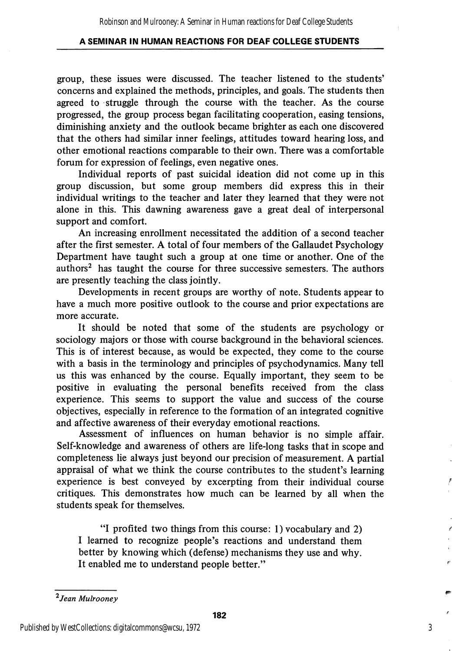### A SEMINAR IN HUMAN REACTIONS FOR DEAF COLLEGE STUDENTS

group, these issues were discussed. The teacher listened to the students' concerns and explained the methods, principles, and goals. The students then agreed to struggle through the course with the teacher. As the course progressed, the group process began facilitating cooperation, easing tensions, diminishing anxiety and the outlook became brighter as each one discovered that the others had similar inner feelings, attitudes toward hearing loss, and other emotional reactions comparable to their own. There was a comfortable forum for expression of feelings, even negative ones.

Individual reports of past suicidal ideation did not come up in this group discussion, but some group members did express this in their individual writings to the teacher and later they learned that they were not alone in this. This dawning awareness gave a great deal of interpersonal support and comfort.

An increasing enrollment necessitated the addition of a second teacher after the first semester. A total of four members of the Gallaudet Psychology Department have taught such a group at one time or another. One of the authors<sup>2</sup> has taught the course for three successive semesters. The authors are presently teaching the class jointly.

Developments in recent groups are worthy of note. Students appear to have a much more positive outlook to the course and prior expectations are more accurate.

It should be noted that some of the students are psychology or sociology majors or those with course background in the behavioral sciences. This is of interest because, as would be expected, they come to the course with a basis in the terminology and principles of psychodynamics. Many tell us this was enhanced by the course. Equally important, they seem to be positive in evaluating the personal benefits received from the class experience. This seems to support the value and success of the course objectives, especially in reference to the formation of an integrated cognitive and affective awareness of their everyday emotional reactions.

Assessment of influences on human behavior is no simple affair. Self-knowledge and awareness of others are life-long tasks that in scope and completeness lie always just beyond our precision of measurement. A partial appraisal of what we think the course contributes to the student's learning experience is best conveyed by excerpting from their individual course critiques. This demonstrates how much can be learned by all when the students speak for themselves.

"I profited two things from this course: 1) vocabulary and 2) I learned to recognize people's reactions and understand them better by knowing which (defense) mechanisms they use and why. It enabled me to understand people better."

3

<sup>2</sup> Jean Mulrooney